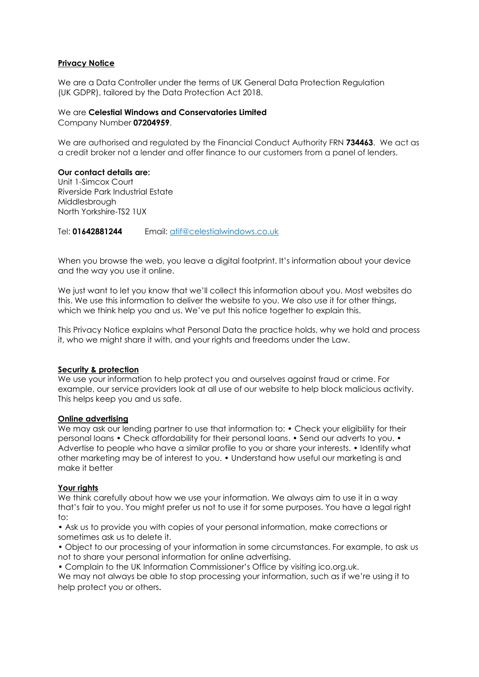### **Privacy Notice**

We are a Data Controller under the terms of UK General Data Protection Regulation (UK GDPR), tailored by the Data Protection Act 2018.

# We are **Celestial Windows and Conservatories Limited**

Company Number **07204959**.

We are authorised and regulated by the Financial Conduct Authority FRN **734463**. We act as a credit broker not a lender and offer finance to our customers from a panel of lenders.

#### **Our contact details are:**

Unit 1-Simcox Court Riverside Park Industrial Estate Middlesbrough North Yorkshire-TS2 1UX

Tel: **01642881244** Email: [atif@celestialwindows.co.uk](mailto:atif@celestialwindows.co.uk)

When you browse the web, you leave a digital footprint. It's information about your device and the way you use it online.

We just want to let you know that we'll collect this information about you. Most websites do this. We use this information to deliver the website to you. We also use it for other things, which we think help you and us. We've put this notice together to explain this.

This Privacy Notice explains what Personal Data the practice holds, why we hold and process it, who we might share it with, and your rights and freedoms under the Law.

### **Security & protection**

We use your information to help protect you and ourselves against fraud or crime. For example, our service providers look at all use of our website to help block malicious activity. This helps keep you and us safe.

#### **Online advertising**

We may ask our lending partner to use that information to: • Check your eligibility for their personal loans • Check affordability for their personal loans. • Send our adverts to you. • Advertise to people who have a similar profile to you or share your interests. • Identify what other marketing may be of interest to you. • Understand how useful our marketing is and make it better

### **Your rights**

We think carefully about how we use your information. We always aim to use it in a way that's fair to you. You might prefer us not to use it for some purposes. You have a legal right  $t \cap$ 

• Ask us to provide you with copies of your personal information, make corrections or sometimes ask us to delete it.

• Object to our processing of your information in some circumstances. For example, to ask us not to share your personal information for online advertising.

• Complain to the UK Information Commissioner's Office by visiting ico.org.uk.

We may not always be able to stop processing your information, such as if we're using it to help protect you or others.